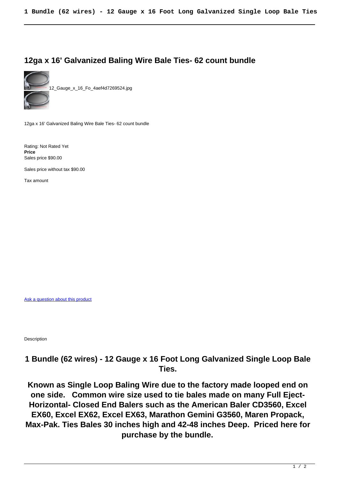## **12ga x 16' Galvanized Baling Wire Bale Ties- 62 count bundle**



12\_Gauge\_x\_16\_Fo\_4aef4d7269524.jpg

12ga x 16' Galvanized Baling Wire Bale Ties- 62 count bundle

Rating: Not Rated Yet **Price**  Sales price \$90.00

Sales price without tax \$90.00

Tax amount

[Ask a question about this product](http://recyclingequipment.com/index.php?option=com_virtuemart&view=productdetails&task=askquestion&virtuemart_product_id=596&virtuemart_category_id=1&tmpl=component)

Description

## **1 Bundle (62 wires) - 12 Gauge x 16 Foot Long Galvanized Single Loop Bale Ties.**

**Known as Single Loop Baling Wire due to the factory made looped end on one side. Common wire size used to tie bales made on many Full Eject-Horizontal- Closed End Balers such as the American Baler CD3560, Excel EX60, Excel EX62, Excel EX63, Marathon Gemini G3560, Maren Propack, Max-Pak. Ties Bales 30 inches high and 42-48 inches Deep. Priced here for purchase by the bundle.**